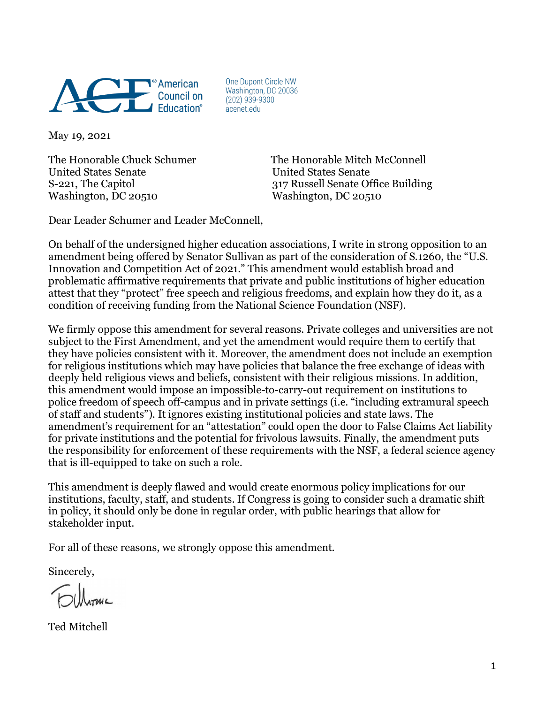

One Dupont Circle NW Washington, DC 20036  $(202)$  939-9300 acenet.edu

May 19, 2021

United States Senate United States Senate Washington, DC 20510 Washington, DC 20510

The Honorable Chuck Schumer The Honorable Mitch McConnell S-221, The Capitol 317 Russell Senate Office Building

Dear Leader Schumer and Leader McConnell,

On behalf of the undersigned higher education associations, I write in strong opposition to an amendment being offered by Senator Sullivan as part of the consideration of S.1260, the "U.S. Innovation and Competition Act of 2021." This amendment would establish broad and problematic affirmative requirements that private and public institutions of higher education attest that they "protect" free speech and religious freedoms, and explain how they do it, as a condition of receiving funding from the National Science Foundation (NSF).

We firmly oppose this amendment for several reasons. Private colleges and universities are not subject to the First Amendment, and yet the amendment would require them to certify that they have policies consistent with it. Moreover, the amendment does not include an exemption for religious institutions which may have policies that balance the free exchange of ideas with deeply held religious views and beliefs, consistent with their religious missions. In addition, this amendment would impose an impossible-to-carry-out requirement on institutions to police freedom of speech off-campus and in private settings (i.e. "including extramural speech of staff and students"). It ignores existing institutional policies and state laws. The amendment's requirement for an "attestation" could open the door to False Claims Act liability for private institutions and the potential for frivolous lawsuits. Finally, the amendment puts the responsibility for enforcement of these requirements with the NSF, a federal science agency that is ill-equipped to take on such a role.

This amendment is deeply flawed and would create enormous policy implications for our institutions, faculty, staff, and students. If Congress is going to consider such a dramatic shift in policy, it should only be done in regular order, with public hearings that allow for stakeholder input.

For all of these reasons, we strongly oppose this amendment.

Sincerely,

Ted Mitchell